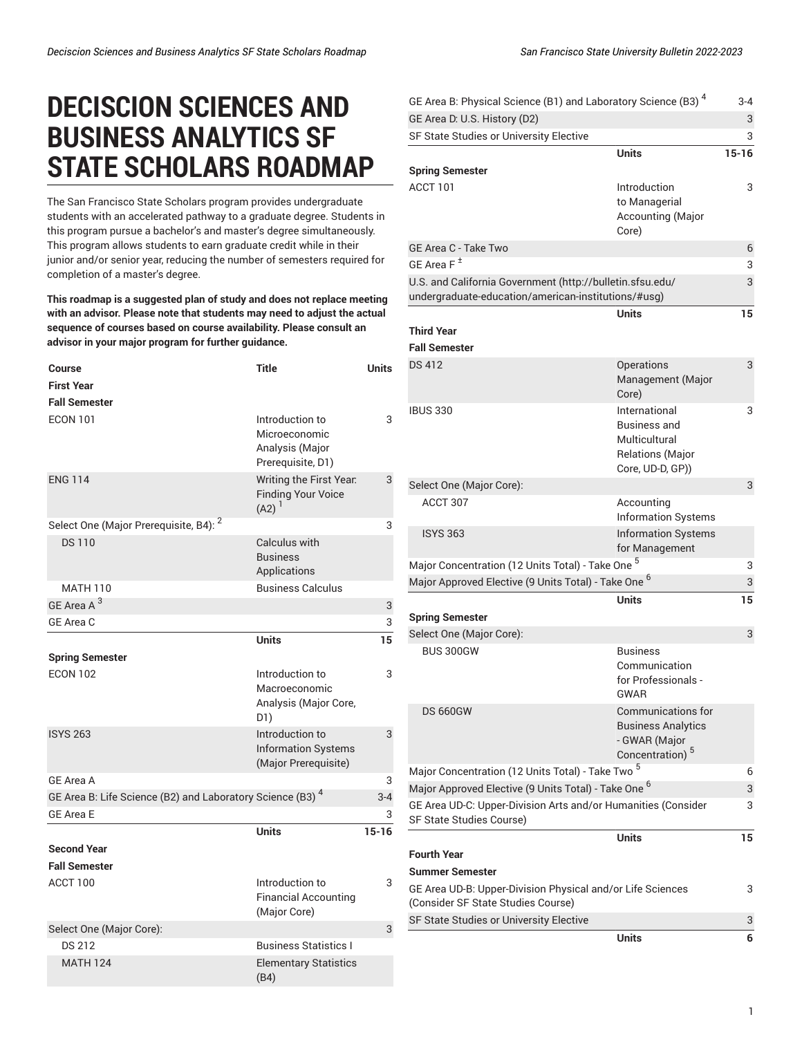## **DECISCION SCIENCES AND BUSINESS ANALYTICS SF STATE SCHOLARS ROADMAP**

The San Francisco State Scholars program provides undergraduate students with an accelerated pathway to a graduate degree. Students in this program pursue a bachelor's and master's degree simultaneously. This program allows students to earn graduate credit while in their junior and/or senior year, reducing the number of semesters required for completion of a master's degree.

**This roadmap is a suggested plan of study and does not replace meeting with an advisor. Please note that students may need to adjust the actual sequence of courses based on course availability. Please consult an advisor in your major program for further guidance.**

| Course                                                                | Title                                                                    | Units     |
|-----------------------------------------------------------------------|--------------------------------------------------------------------------|-----------|
| <b>First Year</b>                                                     |                                                                          |           |
| <b>Fall Semester</b>                                                  |                                                                          |           |
| <b>ECON 101</b>                                                       | Introduction to<br>Microeconomic<br>Analysis (Major<br>Prerequisite, D1) | 3         |
| <b>ENG 114</b>                                                        | Writing the First Year.<br><b>Finding Your Voice</b><br>$(A2)^1$         | 3         |
| Select One (Major Prerequisite, B4): <sup>2</sup>                     |                                                                          | 3         |
| <b>DS110</b>                                                          | Calculus with<br><b>Business</b><br>Applications                         |           |
| <b>MATH 110</b>                                                       | <b>Business Calculus</b>                                                 |           |
| GE Area A <sup>3</sup>                                                |                                                                          | 3         |
| GE Area C                                                             |                                                                          | 3         |
|                                                                       | <b>Units</b>                                                             | 15        |
| <b>Spring Semester</b>                                                |                                                                          |           |
| <b>ECON 102</b>                                                       | Introduction to<br>Macroeconomic<br>Analysis (Major Core,<br>D1)         | 3         |
| <b>ISYS 263</b>                                                       | Introduction to<br><b>Information Systems</b><br>(Major Prerequisite)    | 3         |
| <b>GE Area A</b>                                                      |                                                                          | 3         |
| GE Area B: Life Science (B2) and Laboratory Science (B3) <sup>4</sup> |                                                                          | $3 - 4$   |
| <b>GE Area E</b>                                                      |                                                                          | 3         |
|                                                                       | <b>Units</b>                                                             | $15 - 16$ |
| <b>Second Year</b>                                                    |                                                                          |           |
| <b>Fall Semester</b>                                                  |                                                                          |           |
| ACCT 100                                                              | Introduction to<br><b>Financial Accounting</b><br>(Major Core)           | 3         |
| Select One (Major Core):                                              |                                                                          | 3         |
| <b>DS 212</b>                                                         | <b>Business Statistics I</b>                                             |           |
| <b>MATH 124</b>                                                       | <b>Elementary Statistics</b><br>(B4)                                     |           |

| GE Area B: Physical Science (B1) and Laboratory Science (B3) <sup>4</sup>                                        |                                                                                                        | $3 - 4$   |
|------------------------------------------------------------------------------------------------------------------|--------------------------------------------------------------------------------------------------------|-----------|
| GE Area D: U.S. History (D2)                                                                                     |                                                                                                        | 3         |
| SF State Studies or University Elective                                                                          |                                                                                                        | 3         |
|                                                                                                                  | <b>Units</b>                                                                                           | $15 - 16$ |
| <b>Spring Semester</b>                                                                                           |                                                                                                        |           |
| ACCT 101                                                                                                         | Introduction<br>to Managerial<br>Accounting (Major<br>Core)                                            | 3         |
| GE Area C - Take Two                                                                                             |                                                                                                        | 6         |
| GE Area $F^{\pm}$                                                                                                |                                                                                                        | 3         |
| U.S. and California Government (http://bulletin.sfsu.edu/<br>undergraduate-education/american-institutions/#usg) |                                                                                                        |           |
|                                                                                                                  | Units                                                                                                  | 15        |
| <b>Third Year</b>                                                                                                |                                                                                                        |           |
| <b>Fall Semester</b>                                                                                             |                                                                                                        |           |
| <b>DS 412</b>                                                                                                    | <b>Operations</b><br>Management (Major<br>Core)                                                        | 3         |
| <b>IBUS 330</b>                                                                                                  | International<br><b>Business and</b><br>Multicultural<br><b>Relations (Major</b><br>Core, UD-D, GP))   | 3         |
| Select One (Major Core):                                                                                         |                                                                                                        | 3         |
| ACCT 307                                                                                                         | Accounting<br><b>Information Systems</b>                                                               |           |
| <b>ISYS 363</b>                                                                                                  | <b>Information Systems</b><br>for Management                                                           |           |
| Major Concentration (12 Units Total) - Take One <sup>5</sup>                                                     |                                                                                                        | 3         |
| Major Approved Elective (9 Units Total) - Take One <sup>6</sup>                                                  |                                                                                                        | 3         |
| <b>Spring Semester</b>                                                                                           | <b>Units</b>                                                                                           | 15        |
| Select One (Major Core):                                                                                         |                                                                                                        | 3         |
| BUS 300GW                                                                                                        | <b>Business</b><br>Communication<br>for Professionals<br>GWAR                                          |           |
| <b>DS 660GW</b>                                                                                                  | <b>Communications for</b><br><b>Business Analytics</b><br>- GWAR (Major<br>Concentration) <sup>5</sup> |           |
| Major Concentration (12 Units Total) - Take Two <sup>5</sup>                                                     |                                                                                                        | 6         |
| Major Approved Elective (9 Units Total) - Take One <sup>6</sup>                                                  |                                                                                                        | 3         |
| GE Area UD-C: Upper-Division Arts and/or Humanities (Consider<br>SF State Studies Course)                        |                                                                                                        | 3         |
|                                                                                                                  | <b>Units</b>                                                                                           | 15        |
| <b>Fourth Year</b>                                                                                               |                                                                                                        |           |
| <b>Summer Semester</b>                                                                                           |                                                                                                        |           |
| GE Area UD-B: Upper-Division Physical and/or Life Sciences<br>(Consider SF State Studies Course)                 |                                                                                                        | 3         |
| SF State Studies or University Elective                                                                          |                                                                                                        | 3         |
|                                                                                                                  | <b>Units</b>                                                                                           | 6         |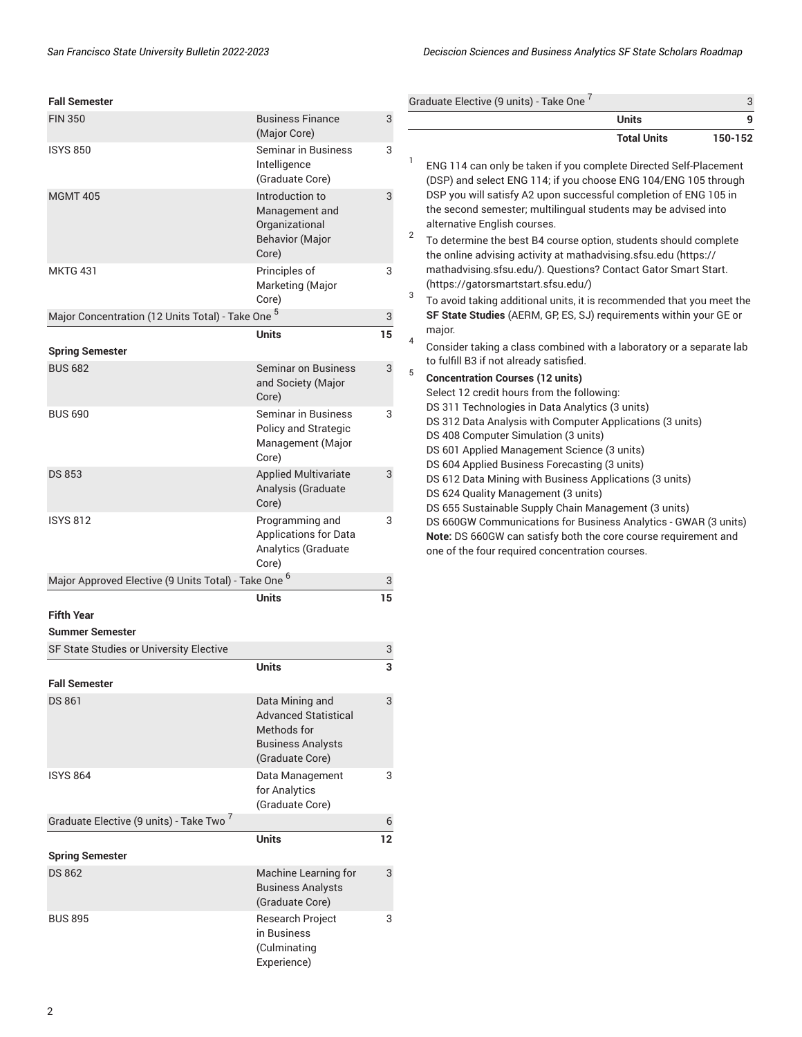3

**Units 9**

|  | <b>Fall Semester</b> |
|--|----------------------|
|--|----------------------|

| <b>Fall Semester</b>                                            |                                                                                                              |                           | Graduate Elective (9 units) - Take One '                                                                                                                                                                   |
|-----------------------------------------------------------------|--------------------------------------------------------------------------------------------------------------|---------------------------|------------------------------------------------------------------------------------------------------------------------------------------------------------------------------------------------------------|
| <b>FIN 350</b>                                                  | <b>Business Finance</b><br>(Major Core)                                                                      | $\mathbf{3}$              |                                                                                                                                                                                                            |
| <b>ISYS 850</b>                                                 | <b>Seminar in Business</b><br>Intelligence<br>(Graduate Core)                                                | 3                         | 1<br>ENG 114 can only be taken if you co<br>(DSP) and select ENG 114; if you ch                                                                                                                            |
| <b>MGMT 405</b>                                                 | Introduction to<br>Management and<br>Organizational<br><b>Behavior (Major</b><br>Core)                       | 3                         | DSP you will satisfy A2 upon succe<br>the second semester; multilingual s<br>alternative English courses.<br>$\overline{2}$<br>To determine the best B4 course op<br>the online advising activity at math. |
| <b>MKTG 431</b>                                                 | Principles of<br>Marketing (Major<br>Core)                                                                   | 3                         | mathadvising.sfsu.edu/). Questions<br>(https://gatorsmartstart.sfsu.edu/)<br>3<br>To avoid taking additional units, it is                                                                                  |
| Major Concentration (12 Units Total) - Take One <sup>5</sup>    |                                                                                                              | $\ensuremath{\mathsf{3}}$ | SF State Studies (AERM, GP, ES, SJ)                                                                                                                                                                        |
| <b>Spring Semester</b>                                          | <b>Units</b>                                                                                                 | 15                        | major.<br>4<br>Consider taking a class combined v                                                                                                                                                          |
| <b>BUS 682</b>                                                  | <b>Seminar on Business</b><br>and Society (Major<br>Core)                                                    | $\ensuremath{\mathsf{3}}$ | to fulfill B3 if not already satisfied.<br>5<br><b>Concentration Courses (12 units)</b><br>Select 12 credit hours from the follo                                                                           |
| <b>BUS 690</b>                                                  | <b>Seminar in Business</b><br>Policy and Strategic<br>Management (Major<br>Core)                             | 3                         | DS 311 Technologies in Data Analyt<br>DS 312 Data Analysis with Compute<br>DS 408 Computer Simulation (3 uni<br>DS 601 Applied Management Scien<br>DS 604 Applied Business Forecasti                       |
| <b>DS 853</b>                                                   | <b>Applied Multivariate</b><br>Analysis (Graduate<br>Core)                                                   | 3                         | DS 612 Data Mining with Business<br>DS 624 Quality Management (3 unit<br>DS 655 Sustainable Supply Chain M                                                                                                 |
| <b>ISYS 812</b>                                                 | Programming and<br><b>Applications for Data</b><br>Analytics (Graduate<br>Core)                              | 3                         | DS 660GW Communications for Bus<br>Note: DS 660GW can satisfy both th<br>one of the four required concentrati                                                                                              |
| Major Approved Elective (9 Units Total) - Take One <sup>6</sup> |                                                                                                              | 3                         |                                                                                                                                                                                                            |
| <b>Fifth Year</b>                                               | <b>Units</b>                                                                                                 | 15                        |                                                                                                                                                                                                            |
| <b>Summer Semester</b>                                          |                                                                                                              |                           |                                                                                                                                                                                                            |
| SF State Studies or University Elective                         |                                                                                                              | 3                         |                                                                                                                                                                                                            |
| <b>Fall Semester</b>                                            | <b>Units</b>                                                                                                 | 3                         |                                                                                                                                                                                                            |
| <b>DS 861</b>                                                   | Data Mining and<br><b>Advanced Statistical</b><br>Methods for<br><b>Business Analysts</b><br>(Graduate Core) | 3                         |                                                                                                                                                                                                            |
| <b>ISYS 864</b>                                                 | Data Management<br>for Analytics<br>(Graduate Core)                                                          | 3                         |                                                                                                                                                                                                            |
| Graduate Elective (9 units) - Take Two <sup>7</sup>             |                                                                                                              | 6                         |                                                                                                                                                                                                            |
| <b>Spring Semester</b>                                          | <b>Units</b>                                                                                                 | 12                        |                                                                                                                                                                                                            |
| <b>DS 862</b>                                                   | Machine Learning for<br><b>Business Analysts</b><br>(Graduate Core)                                          | 3                         |                                                                                                                                                                                                            |
| <b>BUS 895</b>                                                  | Research Project<br>in Business<br>(Culminating<br>Experience)                                               | 3                         |                                                                                                                                                                                                            |

| <b>Total Units</b><br>150-152                                                                                                                                                                                                                                                                                                                                                                                                                                                                                                                                                                                                                                                                    |
|--------------------------------------------------------------------------------------------------------------------------------------------------------------------------------------------------------------------------------------------------------------------------------------------------------------------------------------------------------------------------------------------------------------------------------------------------------------------------------------------------------------------------------------------------------------------------------------------------------------------------------------------------------------------------------------------------|
| ENG 114 can only be taken if you complete Directed Self-Placement<br>(DSP) and select ENG 114; if you choose ENG 104/ENG 105 through<br>DSP you will satisfy A2 upon successful completion of ENG 105 in<br>the second semester; multilingual students may be advised into<br>alternative English courses.                                                                                                                                                                                                                                                                                                                                                                                       |
| To determine the best B4 course option, students should complete<br>the online advising activity at mathadvising sfsu edu (https://<br>mathadvising.sfsu.edu/). Questions? Contact Gator Smart Start.<br>(https://gatorsmartstart.sfsu.edu/)                                                                                                                                                                                                                                                                                                                                                                                                                                                     |
| To avoid taking additional units, it is recommended that you meet the<br>SF State Studies (AERM, GP, ES, SJ) requirements within your GE or<br>major.                                                                                                                                                                                                                                                                                                                                                                                                                                                                                                                                            |
| Consider taking a class combined with a laboratory or a separate lab<br>to fulfill B3 if not already satisfied.                                                                                                                                                                                                                                                                                                                                                                                                                                                                                                                                                                                  |
| <b>Concentration Courses (12 units)</b><br>Select 12 credit hours from the following:<br>DS 311 Technologies in Data Analytics (3 units)<br>DS 312 Data Analysis with Computer Applications (3 units)<br>DS 408 Computer Simulation (3 units)<br>DS 601 Applied Management Science (3 units)<br>DS 604 Applied Business Forecasting (3 units)<br>DS 612 Data Mining with Business Applications (3 units)<br>DS 624 Quality Management (3 units)<br>DS 655 Sustainable Supply Chain Management (3 units)<br>DS 660GW Communications for Business Analytics - GWAR (3 units)<br>Note: DS 660GW can satisfy both the core course requirement and<br>one of the four required concentration courses. |